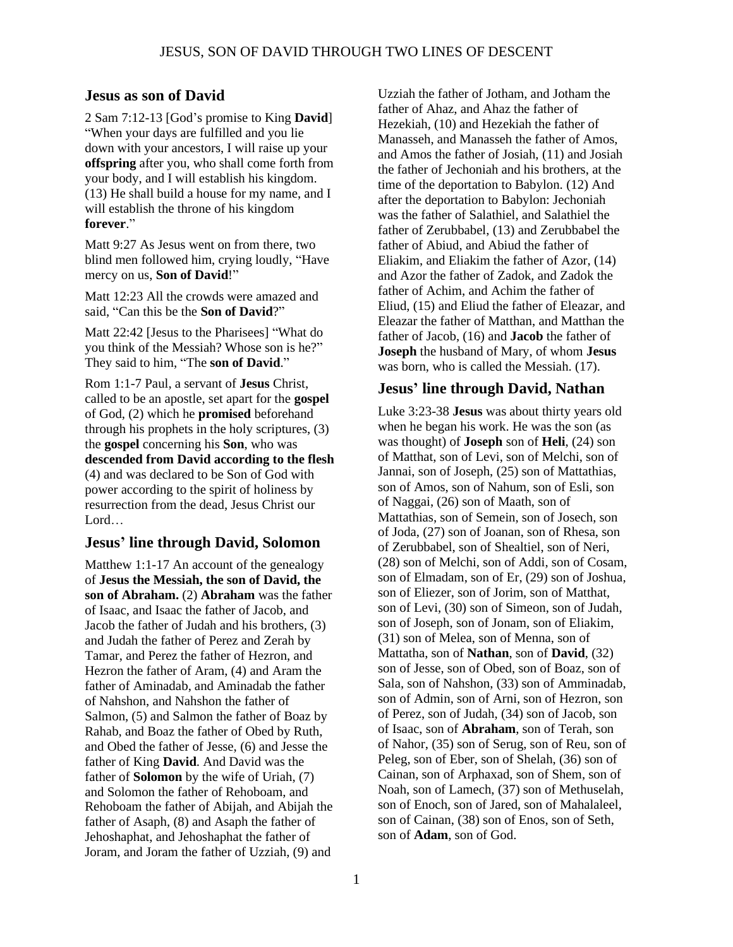# **Jesus as son of David**

2 Sam 7:12-13 [God's promise to King **David**] "When your days are fulfilled and you lie down with your ancestors, I will raise up your **offspring** after you, who shall come forth from your body, and I will establish his kingdom. (13) He shall build a house for my name, and I will establish the throne of his kingdom **forever**."

Matt 9:27 As Jesus went on from there, two blind men followed him, crying loudly, "Have mercy on us, **Son of David**!"

Matt 12:23 All the crowds were amazed and said, "Can this be the **Son of David**?"

Matt 22:42 [Jesus to the Pharisees] "What do you think of the Messiah? Whose son is he?" They said to him, "The **son of David**."

Rom 1:1-7 Paul, a servant of **Jesus** Christ, called to be an apostle, set apart for the **gospel** of God, (2) which he **promised** beforehand through his prophets in the holy scriptures, (3) the **gospel** concerning his **Son**, who was **descended from David according to the flesh** (4) and was declared to be Son of God with power according to the spirit of holiness by resurrection from the dead, Jesus Christ our Lord…

# **Jesus' line through David, Solomon**

Matthew 1:1-17 An account of the genealogy of **Jesus the Messiah, the son of David, the son of Abraham.** (2) **Abraham** was the father of Isaac, and Isaac the father of Jacob, and Jacob the father of Judah and his brothers, (3) and Judah the father of Perez and Zerah by Tamar, and Perez the father of Hezron, and Hezron the father of Aram, (4) and Aram the father of Aminadab, and Aminadab the father of Nahshon, and Nahshon the father of Salmon, (5) and Salmon the father of Boaz by Rahab, and Boaz the father of Obed by Ruth, and Obed the father of Jesse, (6) and Jesse the father of King **David**. And David was the father of **Solomon** by the wife of Uriah, (7) and Solomon the father of Rehoboam, and Rehoboam the father of Abijah, and Abijah the father of Asaph, (8) and Asaph the father of Jehoshaphat, and Jehoshaphat the father of Joram, and Joram the father of Uzziah, (9) and

Uzziah the father of Jotham, and Jotham the father of Ahaz, and Ahaz the father of Hezekiah, (10) and Hezekiah the father of Manasseh, and Manasseh the father of Amos, and Amos the father of Josiah, (11) and Josiah the father of Jechoniah and his brothers, at the time of the deportation to Babylon. (12) And after the deportation to Babylon: Jechoniah was the father of Salathiel, and Salathiel the father of Zerubbabel, (13) and Zerubbabel the father of Abiud, and Abiud the father of Eliakim, and Eliakim the father of Azor, (14) and Azor the father of Zadok, and Zadok the father of Achim, and Achim the father of Eliud, (15) and Eliud the father of Eleazar, and Eleazar the father of Matthan, and Matthan the father of Jacob, (16) and **Jacob** the father of **Joseph** the husband of Mary, of whom **Jesus** was born, who is called the Messiah. (17).

# **Jesus' line through David, Nathan**

Luke 3:23-38 **Jesus** was about thirty years old when he began his work. He was the son (as was thought) of **Joseph** son of **Heli**, (24) son of Matthat, son of Levi, son of Melchi, son of Jannai, son of Joseph, (25) son of Mattathias, son of Amos, son of Nahum, son of Esli, son of Naggai, (26) son of Maath, son of Mattathias, son of Semein, son of Josech, son of Joda, (27) son of Joanan, son of Rhesa, son of Zerubbabel, son of Shealtiel, son of Neri, (28) son of Melchi, son of Addi, son of Cosam, son of Elmadam, son of Er, (29) son of Joshua, son of Eliezer, son of Jorim, son of Matthat, son of Levi, (30) son of Simeon, son of Judah, son of Joseph, son of Jonam, son of Eliakim, (31) son of Melea, son of Menna, son of Mattatha, son of **Nathan**, son of **David**, (32) son of Jesse, son of Obed, son of Boaz, son of Sala, son of Nahshon, (33) son of Amminadab, son of Admin, son of Arni, son of Hezron, son of Perez, son of Judah, (34) son of Jacob, son of Isaac, son of **Abraham**, son of Terah, son of Nahor, (35) son of Serug, son of Reu, son of Peleg, son of Eber, son of Shelah, (36) son of Cainan, son of Arphaxad, son of Shem, son of Noah, son of Lamech, (37) son of Methuselah, son of Enoch, son of Jared, son of Mahalaleel, son of Cainan, (38) son of Enos, son of Seth, son of **Adam**, son of God.